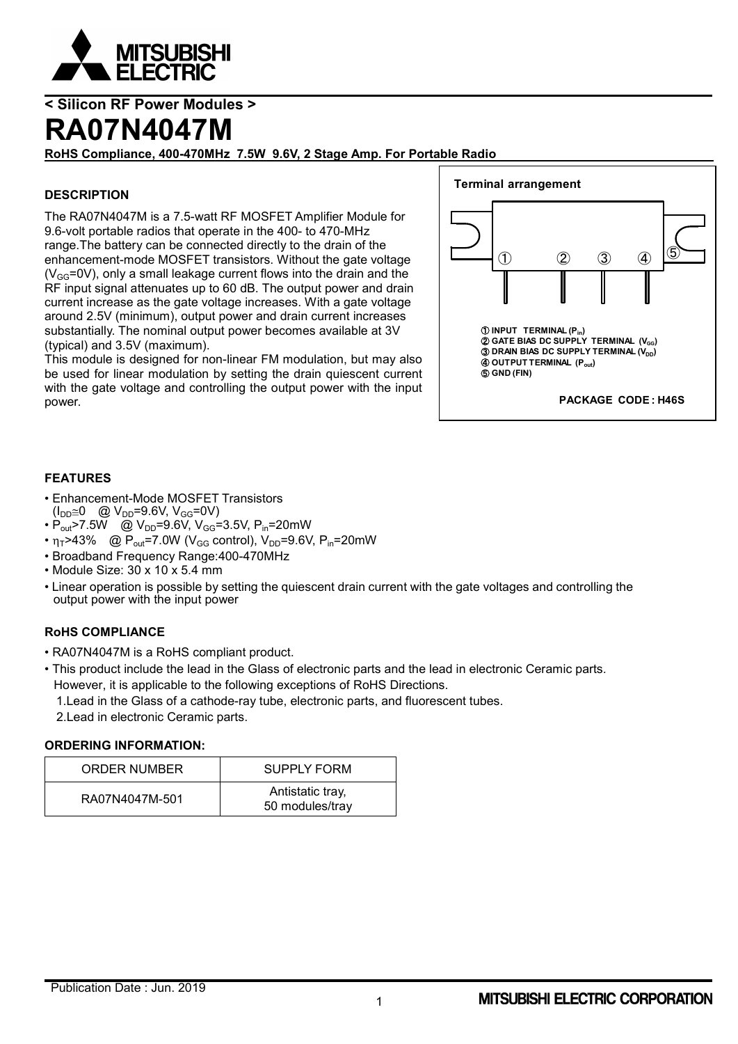

## **RA07N4047M**

**RoHS Compliance, 400-470MHz 7.5W 9.6V, 2 Stage Amp. For Portable Radio**

### **DESCRIPTION**

The RA07N4047M is a 7.5-watt RF MOSFET Amplifier Module for 9.6-volt portable radios that operate in the 400- to 470-MHz range.The battery can be connected directly to the drain of the enhancement-mode MOSFET transistors. Without the gate voltage  $(V_{GG}=0V)$ , only a small leakage current flows into the drain and the RF input signal attenuates up to 60 dB. The output power and drain current increase as the gate voltage increases. With a gate voltage around 2.5V (minimum), output power and drain current increases substantially. The nominal output power becomes available at 3V (typical) and 3.5V (maximum).

This module is designed for non-linear FM modulation, but may also be used for linear modulation by setting the drain quiescent current with the gate voltage and controlling the output power with the input power.



### **FEATURES**

- Enhancement-Mode MOSFET Transistors  $(I_{DD} \cong 0 \quad \textcircled{a} \ V_{DD} = 9.6 V, V_{GG} = 0 V)$
- $P_{\text{out}}$ >7.5W @  $V_{\text{DD}}$ =9.6V,  $V_{\text{GG}}$ =3.5V,  $P_{\text{in}}$ =20mW
- $\eta_{\text{T}}$ >43% @ P<sub>out</sub>=7.0W (V<sub>GG</sub> control), V<sub>DD</sub>=9.6V, P<sub>in</sub>=20mW
- Broadband Frequency Range:400-470MHz
- Module Size: 30 x 10 x 5.4 mm
- Linear operation is possible by setting the quiescent drain current with the gate voltages and controlling the output power with the input power

### **RoHS COMPLIANCE**

- RA07N4047M is a RoHS compliant product.
- This product include the lead in the Glass of electronic parts and the lead in electronic Ceramic parts. However, it is applicable to the following exceptions of RoHS Directions.
	- 1.Lead in the Glass of a cathode-ray tube, electronic parts, and fluorescent tubes.
	- 2.Lead in electronic Ceramic parts.

### **ORDERING INFORMATION:**

| ORDER NUMBER   | <b>SUPPLY FORM</b>                  |
|----------------|-------------------------------------|
| RA07N4047M-501 | Antistatic tray,<br>50 modules/tray |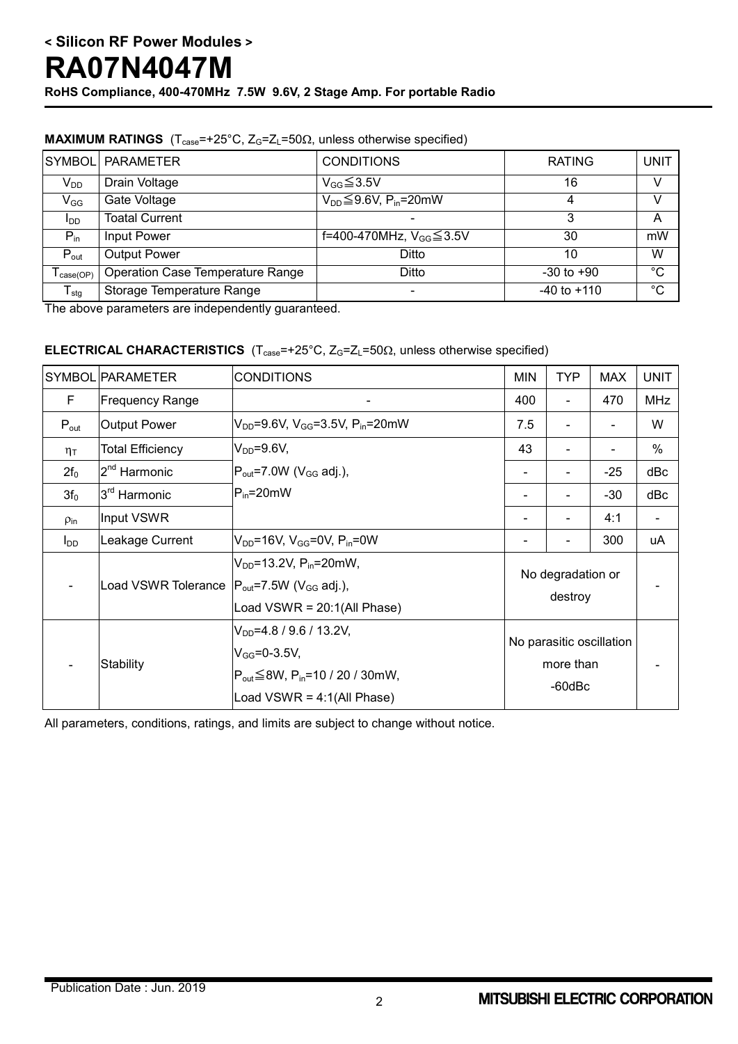|                        | SYMBOL PARAMETER                        | <b>CONDITIONS</b>                          | <b>RATING</b>   | <b>UNIT</b> |
|------------------------|-----------------------------------------|--------------------------------------------|-----------------|-------------|
| $V_{DD}$               | Drain Voltage                           | $V_{GG} \leq 3.5V$                         | 16              | v           |
| $V_{GG}$               | Gate Voltage                            | $V_{DD} \leq 9.6V$ , P <sub>in</sub> =20mW | 4               |             |
| <b>I</b> <sub>DD</sub> | <b>Toatal Current</b>                   |                                            | 3               | А           |
| $P_{in}$               | Input Power                             | f=400-470MHz, $V_{GG}$ ≤ 3.5V              | 30              | mW          |
| $P_{\text{out}}$       | <b>Output Power</b>                     | Ditto                                      | 10              | W           |
| $i$ case(OP)           | <b>Operation Case Temperature Range</b> | Ditto                                      | $-30$ to $+90$  | °C          |
| $T_{\text{stg}}$       | Storage Temperature Range               |                                            | $-40$ to $+110$ | $^{\circ}C$ |

### **MAXIMUM RATINGS**  $(T_{\text{case}} = +25^{\circ} \text{C}, Z_{\text{G}} = Z_{\text{L}} = 50 \Omega,$  unless otherwise specified)

The above parameters are independently guaranteed.

### **ELECTRICAL CHARACTERISTICS**  $(T_{\text{case}}=+25^{\circ}C, Z_G=Z_L=50\Omega,$  unless otherwise specified)

|                    | SYMBOL PARAMETER         | <b>CONDITIONS</b>                                                                                                                                         | <b>MIN</b>                                            | TYP | <b>MAX</b> | <b>UNIT</b> |
|--------------------|--------------------------|-----------------------------------------------------------------------------------------------------------------------------------------------------------|-------------------------------------------------------|-----|------------|-------------|
| F                  | <b>Frequency Range</b>   |                                                                                                                                                           | 400                                                   |     | 470        | <b>MHz</b>  |
| $P_{\text{out}}$   | <b>Output Power</b>      | $V_{DD} = 9.6V$ , $V_{GG} = 3.5V$ , $P_{in} = 20mW$                                                                                                       | 7.5                                                   |     |            | W           |
| $\eta_T$           | <b>Total Efficiency</b>  | $V_{DD} = 9.6 V,$                                                                                                                                         | 43                                                    |     |            | $\%$        |
| $2f_0$             | 2 <sup>nd</sup> Harmonic | $P_{\text{out}}$ =7.0W (V <sub>GG</sub> adj.),                                                                                                            |                                                       |     | $-25$      | dBc         |
| 3f <sub>0</sub>    | 3 <sup>rd</sup> Harmonic | $P_{in} = 20$ mW                                                                                                                                          |                                                       |     | $-30$      | dBc         |
| $\rho_{\text{in}}$ | Input VSWR               |                                                                                                                                                           |                                                       |     | 4:1        |             |
| $I_{DD}$           | Leakage Current          | $V_{DD} = 16V$ , $V_{GG} = 0V$ , $P_{in} = 0W$                                                                                                            |                                                       |     | 300        | uA          |
|                    | Load VSWR Tolerance      | $V_{DD} = 13.2 V, P_{in} = 20 mW,$<br>$ P_{\text{out}}=7.5W$ (V <sub>GG</sub> adj.),<br>Load $VSWR = 20:1(All Phase)$                                     | No degradation or<br>destroy                          |     |            |             |
|                    | Stability                | $V_{DD} = 4.8 / 9.6 / 13.2 V,$<br>$V_{GG} = 0 - 3.5V$ ,<br>$P_{\text{out}} \leq 8W$ , $P_{\text{in}} = 10 / 20 / 30$ mW,<br>Load VSWR = $4:1$ (All Phase) | No parasitic oscillation<br>more than<br>$-60$ d $Bc$ |     |            |             |

All parameters, conditions, ratings, and limits are subject to change without notice.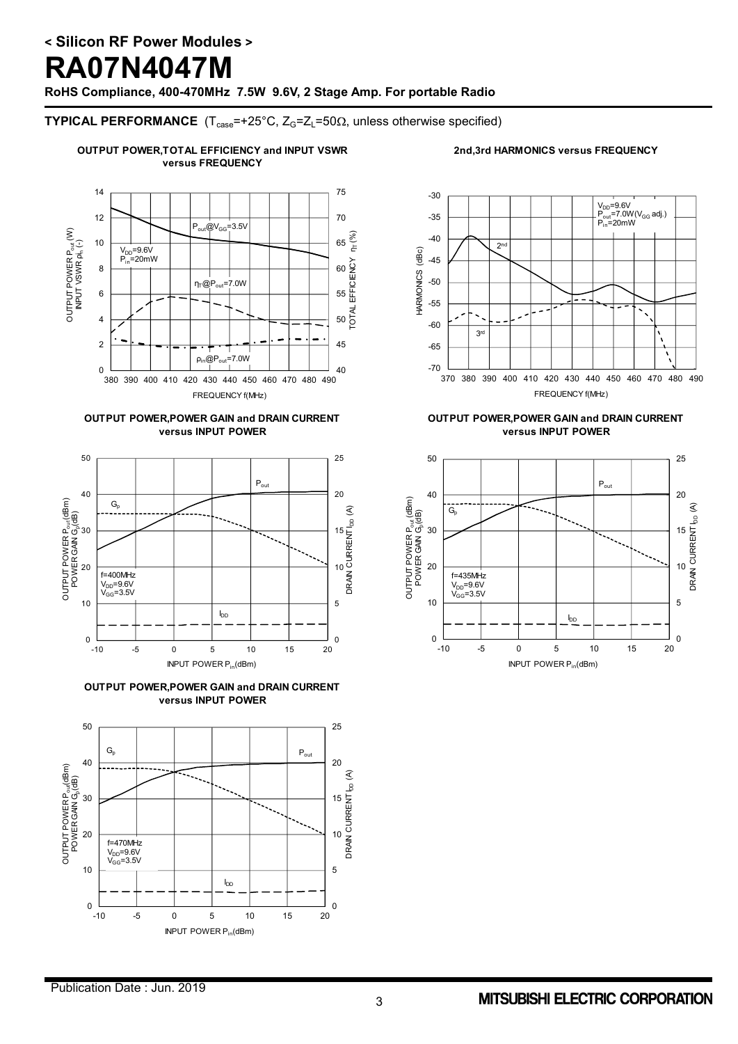# **RA07N4047M**

**RoHS Compliance, 400-470MHz 7.5W 9.6V, 2 Stage Amp. For portable Radio**

### **TYPICAL PERFORMANCE**  $(T_{\text{case}} = +25^{\circ}C, Z_G = Z_L = 50\Omega,$  unless otherwise specified)

### **OUTPUT POWER,TOTAL EFFICIENCY and INPUT VSWR versus FREQUENCY**

### **2nd,3rd HARMONICS versus FREQUENCY**







**OUTPUT POWER,POWER GAIN and DRAIN CURRENT versus INPUT POWER**





### **OUTPUT POWER,POWER GAIN and DRAIN CURRENT versus INPUT POWER**

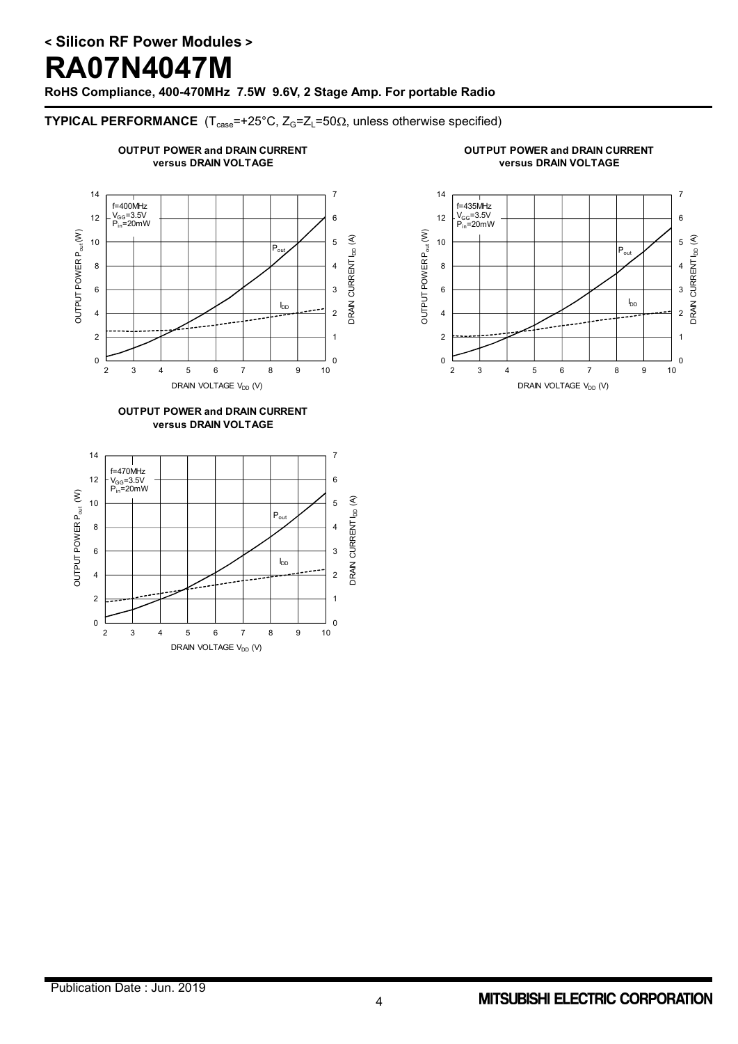# **RA07N4047M**

**RoHS Compliance, 400-470MHz 7.5W 9.6V, 2 Stage Amp. For portable Radio**

### **TYPICAL PERFORMANCE**  $(T_{\text{case}} = +25^{\circ}C, Z_G = Z_L = 50\Omega,$  unless otherwise specified)



2 3 4 5 6 7 8 9 10

DRAIN VOLTAGE  $V_{DD}$  (V)





## Publication Date : Jun. 2019

0 2

] <sub>0</sub><br>10

1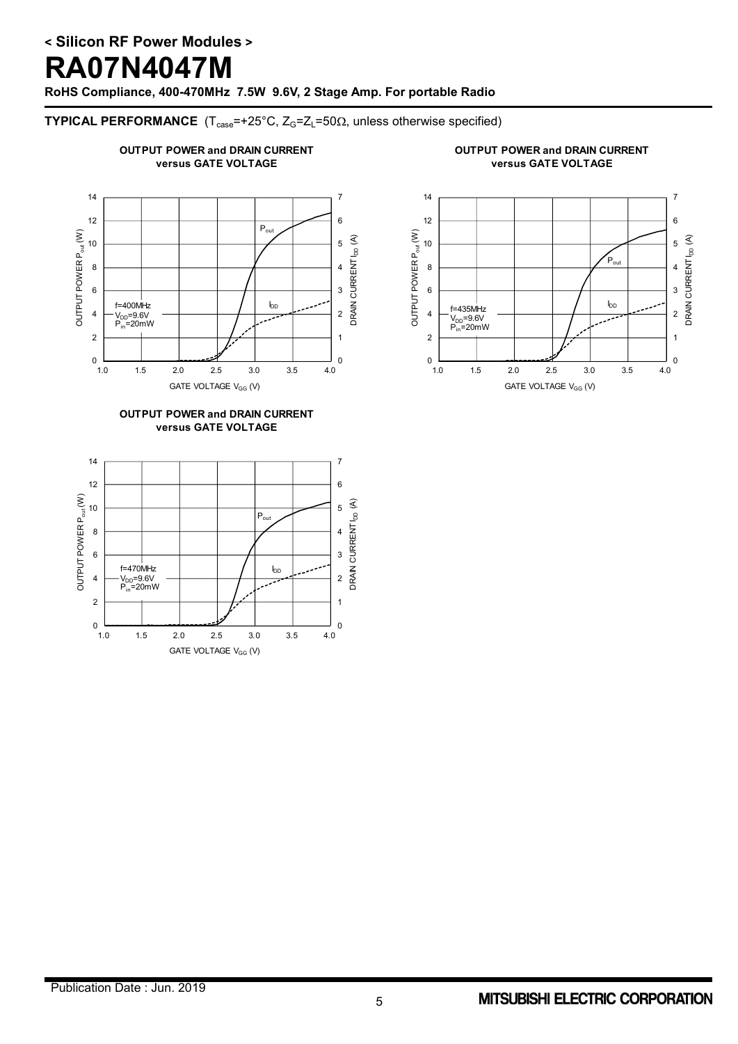# **RA07N4047M**

**RoHS Compliance, 400-470MHz 7.5W 9.6V, 2 Stage Amp. For portable Radio**

### **TYPICAL PERFORMANCE**  $(T_{\text{case}} = +25^{\circ}C, Z_G = Z_L = 50\Omega,$  unless otherwise specified)

## **OUTPUT POWER and DRAIN CURRENT versus GATE VOLTAGE**







### 14 7 12 6 E DRAIN CURRENT  $I_{DD}$  (A) DRAIN CURRENT  $_{\rm bD}$  (A) 10 5 WER P<sub>out</sub>  $P_{\text{out}}$ 8 4 OUTPUT PO 3 6 IDD f=435MHz 4 2 V<sub>DD</sub>=9.6V<br>P<sub>in</sub>=20mW 2 1  $_{1.0}^0$  $\theta$ 1.0 1.5 2.0 2.5 3.0 3.5 4.0 GATE VOLTAGE V<sub>GG</sub> (V)

**OUTPUT POWER and DRAIN CURRENT versus GATE VOLTAGE**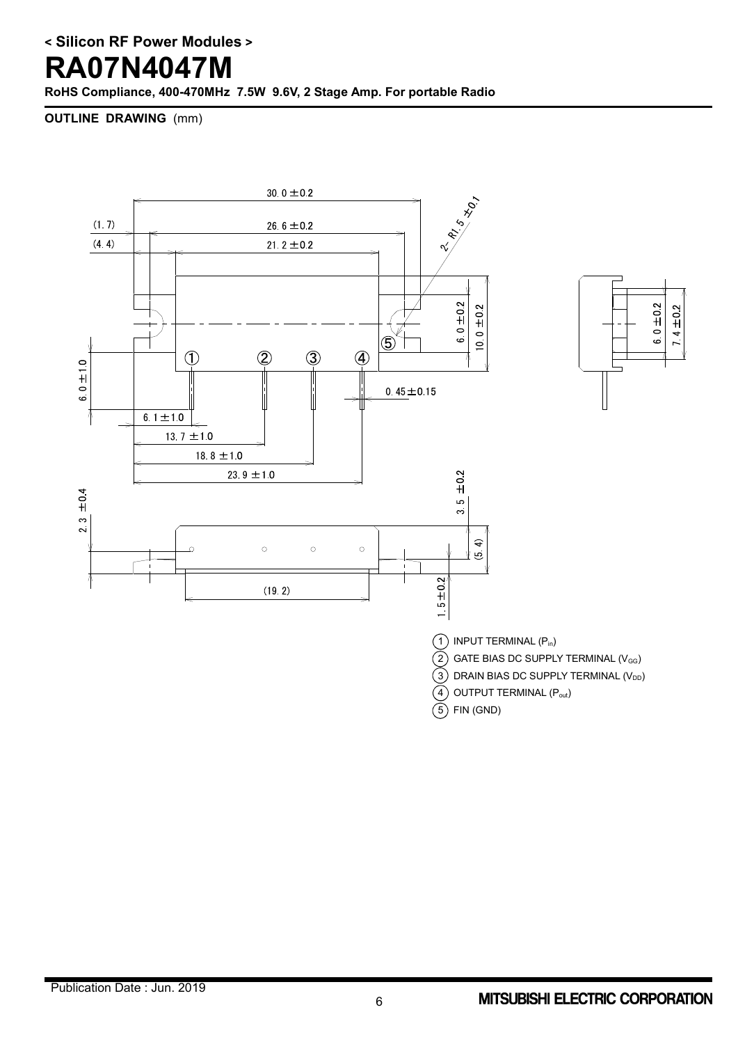# **RA07N4047M**

**RoHS Compliance, 400-470MHz 7.5W 9.6V, 2 Stage Amp. For portable Radio**

**OUTLINE DRAWING** (mm)

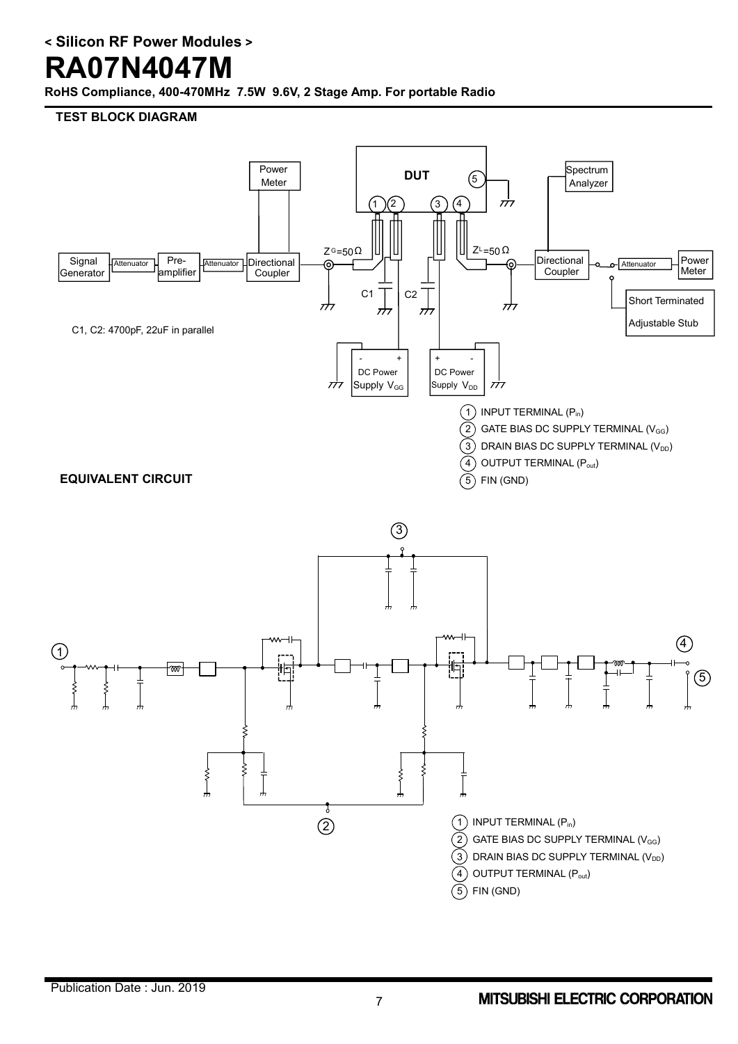# **RA07N4047M**

**RoHS Compliance, 400-470MHz 7.5W 9.6V, 2 Stage Amp. For portable Radio**

**TEST BLOCK DIAGRAM**

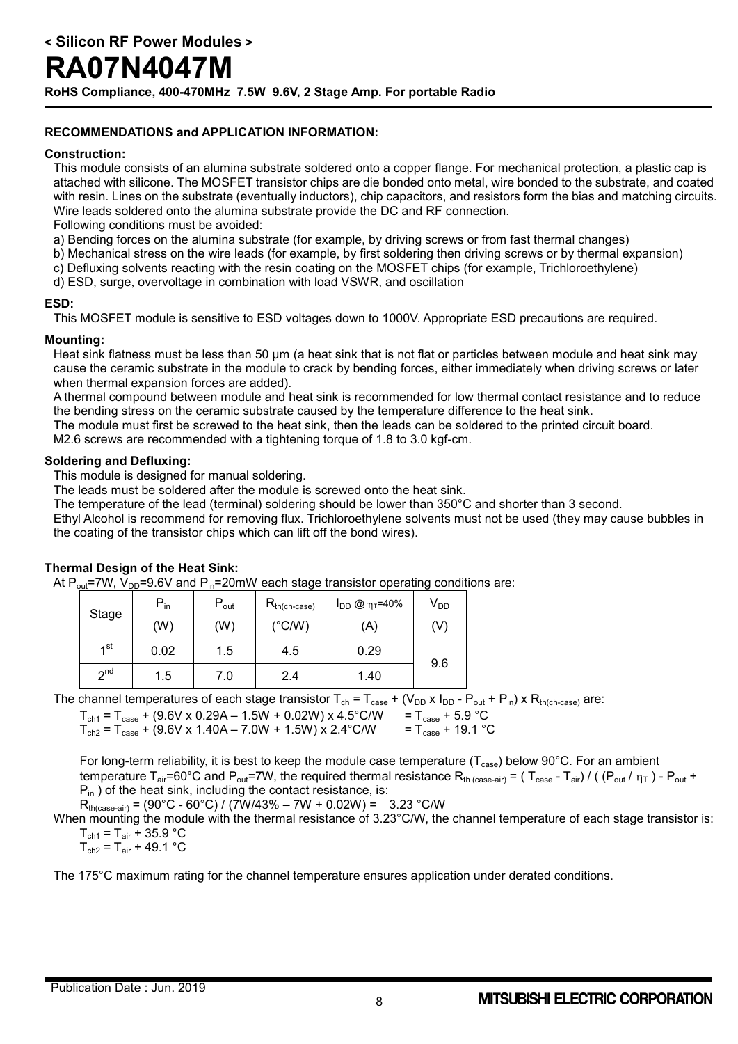### **RECOMMENDATIONS and APPLICATION INFORMATION:**

### **Construction:**

This module consists of an alumina substrate soldered onto a copper flange. For mechanical protection, a plastic cap is attached with silicone. The MOSFET transistor chips are die bonded onto metal, wire bonded to the substrate, and coated with resin. Lines on the substrate (eventually inductors), chip capacitors, and resistors form the bias and matching circuits. Wire leads soldered onto the alumina substrate provide the DC and RF connection.

Following conditions must be avoided:

- a) Bending forces on the alumina substrate (for example, by driving screws or from fast thermal changes)
- b) Mechanical stress on the wire leads (for example, by first soldering then driving screws or by thermal expansion)
- c) Defluxing solvents reacting with the resin coating on the MOSFET chips (for example, Trichloroethylene)
- d) ESD, surge, overvoltage in combination with load VSWR, and oscillation

### **ESD:**

This MOSFET module is sensitive to ESD voltages down to 1000V. Appropriate ESD precautions are required.

### **Mounting:**

Heat sink flatness must be less than 50 µm (a heat sink that is not flat or particles between module and heat sink may cause the ceramic substrate in the module to crack by bending forces, either immediately when driving screws or later when thermal expansion forces are added).

A thermal compound between module and heat sink is recommended for low thermal contact resistance and to reduce the bending stress on the ceramic substrate caused by the temperature difference to the heat sink.

The module must first be screwed to the heat sink, then the leads can be soldered to the printed circuit board.

M2.6 screws are recommended with a tightening torque of 1.8 to 3.0 kgf-cm.

### **Soldering and Defluxing:**

This module is designed for manual soldering.

The leads must be soldered after the module is screwed onto the heat sink.

The temperature of the lead (terminal) soldering should be lower than 350°C and shorter than 3 second.

Ethyl Alcohol is recommend for removing flux. Trichloroethylene solvents must not be used (they may cause bubbles in the coating of the transistor chips which can lift off the bond wires).

### **Thermal Design of the Heat Sink:**

At  $P_{out}$ =7W,  $V_{DD}$ =9.6V and  $P_{in}$ =20mW each stage transistor operating conditions are:

| Stage           | $\mathsf{P}_{\mathsf{in}}$ | $P_{\text{out}}$ | $R_{th(ch\text{-}case)}$ | $I_{DD}$ @ $\eta_T = 40\%$ | $V_{DD}$ |
|-----------------|----------------------------|------------------|--------------------------|----------------------------|----------|
|                 | (W)                        | (W)              | $(^{\circ}$ C/W)         | (A)                        | (V)      |
| 1 <sup>st</sup> | 0.02                       | 1.5              | 4.5                      | 0.29                       |          |
| 2 <sub>nd</sub> | 1.5                        | 7.0              | 2.4                      | 1.40                       | 9.6      |

The channel temperatures of each stage transistor  $T_{ch} = T_{case} + (V_{DD} \times I_{DD} - P_{out} + P_{in}) \times R_{th(ch-case)}$  are:

 $T_{ch1} = T_{case} + (9.6V \times 0.29A - 1.5W + 0.02W) \times 4.5^{\circ}$ C/W =  $T_{case} + 5.9^{\circ}$ C<br>  $T_{ch2} = T_{case} + (9.6V \times 1.40A - 7.0W + 1.5W) \times 2.4^{\circ}$ C/W =  $T_{case} + 19.1^{\circ}$ C  $T_{\text{ch2}} = T_{\text{case}} + (9.6V \times 1.40A - 7.0W + 1.5W) \times 2.4^{\circ}$ C/W

For long-term reliability, it is best to keep the module case temperature ( $T_{case}$ ) below 90°C. For an ambient temperature T<sub>air</sub>=60°C and P<sub>out</sub>=7W, the required thermal resistance R<sub>th (case-air)</sub> = ( T<sub>case</sub> - T<sub>air</sub>) / ( (P<sub>out</sub> /  $\eta$ <sub>T</sub> ) - P<sub>out</sub> +  $P_{in}$ ) of the heat sink, including the contact resistance, is:

 $R_{th (case-air)} = (90^{\circ}C - 60^{\circ}C) / (7W/43\% - 7W + 0.02W) = 3.23 \degree C/W$ 

When mounting the module with the thermal resistance of 3.23°C/W, the channel temperature of each stage transistor is:  $T_{\text{ch1}} = T_{\text{air}} + 35.9 \text{ °C}$ 

 $T_{ch2} = T_{air} + 49.1 °C$ 

The 175°C maximum rating for the channel temperature ensures application under derated conditions.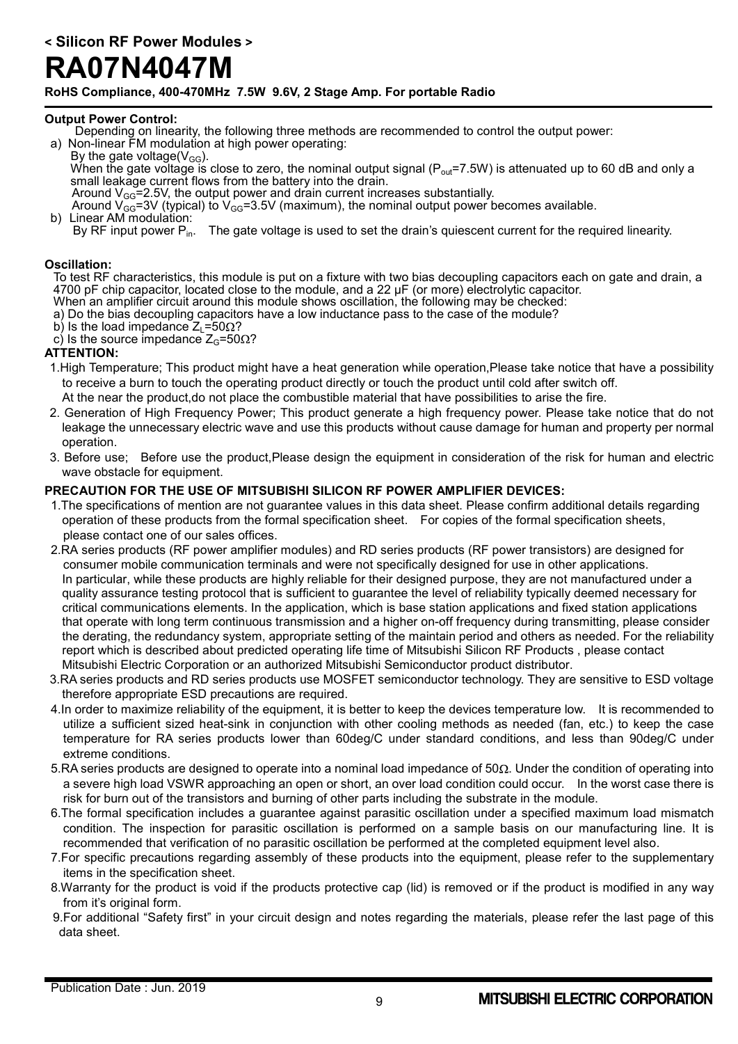# **RA07N4047M**

**RoHS Compliance, 400-470MHz 7.5W 9.6V, 2 Stage Amp. For portable Radio**

### **Output Power Control:**

- Depending on linearity, the following three methods are recommended to control the output power: a) Non-linear FM modulation at high power operating:
- By the gate voltage( $V_{GG}$ ). When the gate voltage is close to zero, the nominal output signal ( $P_{out}=7.5W$ ) is attenuated up to 60 dB and only a small leakage current flows from the battery into the drain.
	- Around  $V_{GG}$ =2.5V, the output power and drain current increases substantially.
	- Around  $V_{GG}$ =3V (typical) to  $V_{GG}$ =3.5V (maximum), the nominal output power becomes available.
- b) Linear AM modulation: By RF input power P<sub>in</sub>. The gate voltage is used to set the drain's quiescent current for the required linearity.

### **Oscillation:**

To test RF characteristics, this module is put on a fixture with two bias decoupling capacitors each on gate and drain, a 4700 pF chip capacitor, located close to the module, and a 22 µF (or more) electrolytic capacitor.

- When an amplifier circuit around this module shows oscillation, the following may be checked: a) Do the bias decoupling capacitors have a low inductance pass to the case of the module?
- b) Is the load impedance  $Z_1 = 50 \Omega$ ?
- c) Is the source impedance  $Z_G$ =50 $\Omega$ ?

### **ATTENTION:**

- 1.High Temperature; This product might have a heat generation while operation,Please take notice that have a possibility to receive a burn to touch the operating product directly or touch the product until cold after switch off.
	- At the near the product,do not place the combustible material that have possibilities to arise the fire.
- 2. Generation of High Frequency Power; This product generate a high frequency power. Please take notice that do not leakage the unnecessary electric wave and use this products without cause damage for human and property per normal operation.
- 3. Before use; Before use the product,Please design the equipment in consideration of the risk for human and electric wave obstacle for equipment.

### **PRECAUTION FOR THE USE OF MITSUBISHI SILICON RF POWER AMPLIFIER DEVICES:**

- 1.The specifications of mention are not guarantee values in this data sheet. Please confirm additional details regarding operation of these products from the formal specification sheet. For copies of the formal specification sheets, please contact one of our sales offices.
- 2.RA series products (RF power amplifier modules) and RD series products (RF power transistors) are designed for consumer mobile communication terminals and were not specifically designed for use in other applications. In particular, while these products are highly reliable for their designed purpose, they are not manufactured under a quality assurance testing protocol that is sufficient to guarantee the level of reliability typically deemed necessary for critical communications elements. In the application, which is base station applications and fixed station applications that operate with long term continuous transmission and a higher on-off frequency during transmitting, please consider the derating, the redundancy system, appropriate setting of the maintain period and others as needed. For the reliability report which is described about predicted operating life time of Mitsubishi Silicon RF Products , please contact Mitsubishi Electric Corporation or an authorized Mitsubishi Semiconductor product distributor.
- 3.RA series products and RD series products use MOSFET semiconductor technology. They are sensitive to ESD voltage therefore appropriate ESD precautions are required.
- 4.In order to maximize reliability of the equipment, it is better to keep the devices temperature low. It is recommended to utilize a sufficient sized heat-sink in conjunction with other cooling methods as needed (fan, etc.) to keep the case temperature for RA series products lower than 60deg/C under standard conditions, and less than 90deg/C under extreme conditions.
- 5.RA series products are designed to operate into a nominal load impedance of  $50\Omega$ . Under the condition of operating into a severe high load VSWR approaching an open or short, an over load condition could occur. In the worst case there is risk for burn out of the transistors and burning of other parts including the substrate in the module.
- 6.The formal specification includes a guarantee against parasitic oscillation under a specified maximum load mismatch condition. The inspection for parasitic oscillation is performed on a sample basis on our manufacturing line. It is recommended that verification of no parasitic oscillation be performed at the completed equipment level also.
- 7.For specific precautions regarding assembly of these products into the equipment, please refer to the supplementary items in the specification sheet.
- 8.Warranty for the product is void if the products protective cap (lid) is removed or if the product is modified in any way from it's original form.
- 9.For additional "Safety first" in your circuit design and notes regarding the materials, please refer the last page of this data sheet.